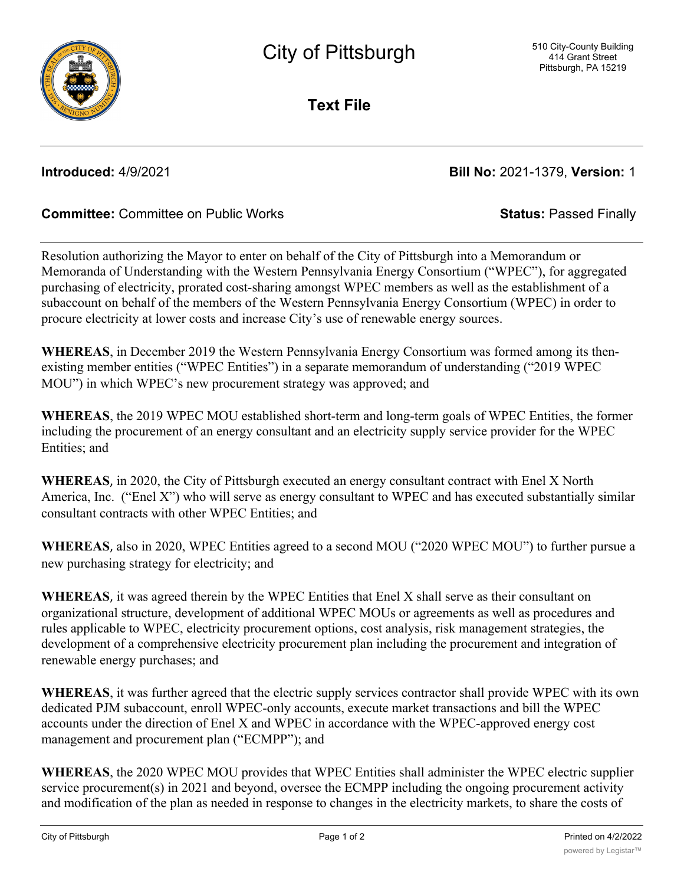

**Text File**

**Introduced:** 4/9/2021 **Bill No:** 2021-1379, **Version:** 1

# **Committee:** Committee on Public Works **Status:** Passed Finally

Resolution authorizing the Mayor to enter on behalf of the City of Pittsburgh into a Memorandum or Memoranda of Understanding with the Western Pennsylvania Energy Consortium ("WPEC"), for aggregated purchasing of electricity, prorated cost-sharing amongst WPEC members as well as the establishment of a subaccount on behalf of the members of the Western Pennsylvania Energy Consortium (WPEC) in order to procure electricity at lower costs and increase City's use of renewable energy sources.

**WHEREAS**, in December 2019 the Western Pennsylvania Energy Consortium was formed among its thenexisting member entities ("WPEC Entities") in a separate memorandum of understanding ("2019 WPEC MOU") in which WPEC's new procurement strategy was approved; and

**WHEREAS**, the 2019 WPEC MOU established short-term and long-term goals of WPEC Entities, the former including the procurement of an energy consultant and an electricity supply service provider for the WPEC Entities; and

**WHEREAS**, in 2020, the City of Pittsburgh executed an energy consultant contract with Enel X North America, Inc. ("Enel X") who will serve as energy consultant to WPEC and has executed substantially similar consultant contracts with other WPEC Entities; and

**WHEREAS**, also in 2020, WPEC Entities agreed to a second MOU ("2020 WPEC MOU") to further pursue a new purchasing strategy for electricity; and

**WHEREAS**, it was agreed therein by the WPEC Entities that Enel X shall serve as their consultant on organizational structure, development of additional WPEC MOUs or agreements as well as procedures and rules applicable to WPEC, electricity procurement options, cost analysis, risk management strategies, the development of a comprehensive electricity procurement plan including the procurement and integration of renewable energy purchases; and

**WHEREAS**, it was further agreed that the electric supply services contractor shall provide WPEC with its own dedicated PJM subaccount, enroll WPEC-only accounts, execute market transactions and bill the WPEC accounts under the direction of Enel X and WPEC in accordance with the WPEC-approved energy cost management and procurement plan ("ECMPP"); and

**WHEREAS**, the 2020 WPEC MOU provides that WPEC Entities shall administer the WPEC electric supplier service procurement(s) in 2021 and beyond, oversee the ECMPP including the ongoing procurement activity and modification of the plan as needed in response to changes in the electricity markets, to share the costs of